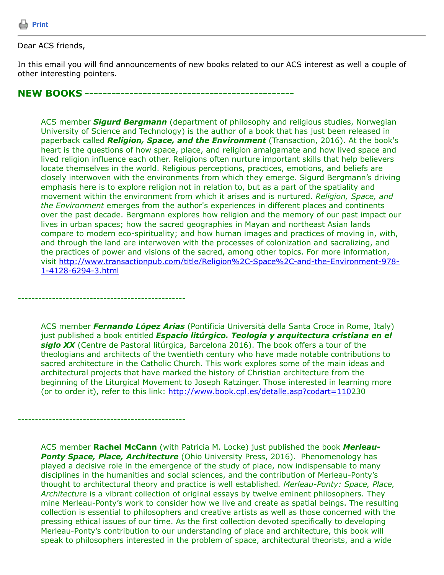

## Dear ACS friends,

In this email you will find announcements of new books related to our ACS interest as well a couple of other interesting pointers.

**NEW BOOKS -----------------------------------------------**

*-------------------------------------------------*

*-------------------------------------------------*

ACS member *Sigurd Bergmann* (department of philosophy and religious studies, Norwegian University of Science and Technology) is the author of a book that has just been released in paperback called *Religion, Space, and the Environment* (Transaction, 2016). At the book's heart is the questions of how space, place, and religion amalgamate and how lived space and lived religion influence each other. Religions often nurture important skills that help believers locate themselves in the world. Religious perceptions, practices, emotions, and beliefs are closely interwoven with the environments from which they emerge. Sigurd Bergmann's driving emphasis here is to explore religion not in relation to, but as a part of the spatiality and movement within the environment from which it arises and is nurtured. *Religion, Space, and the Environment* emerges from the author's experiences in different places and continents over the past decade. Bergmann explores how religion and the memory of our past impact our lives in urban spaces; how the sacred geographies in Mayan and northeast Asian lands compare to modern eco-spirituality; and how human images and practices of moving in, with, and through the land are interwoven with the processes of colonization and sacralizing, and the practices of power and visions of the sacred, among other topics. For more information, [visit http://www.transactionpub.com/title/Religion%2C-Space%2C-and-the-Environment-978-](http://www.transactionpub.com/title/Religion,-Space,-and-the-Environment-978-1-4128-6294-3.html) 1-4128-6294-3.html

ACS member *Fernando López Arias* (Pontificia Università della Santa Croce in Rome, Italy) just published a book entitled *Espacio litúrgico. Teología y arquitectura cristiana en el* siglo XX (Centre de Pastoral litúrgica, Barcelona 2016). The book offers a tour of the theologians and architects of the twentieth century who have made notable contributions to sacred architecture in the Catholic Church. This work explores some of the main ideas and architectural projects that have marked the history of Christian architecture from the beginning of the Liturgical Movement to Joseph Ratzinger. Those interested in learning more (or to order it), refer to this link:<http://www.book.cpl.es/detalle.asp?codart=110>230

ACS member **Rachel McCann** (with Patricia M. Locke) just published the book *Merleau-***Ponty Space, Place, Architecture** (Ohio University Press, 2016). Phenomenology has played a decisive role in the emergence of the study of place, now indispensable to many disciplines in the humanities and social sciences, and the contribution of Merleau-Ponty's thought to architectural theory and practice is well established*. Merleau-Ponty: Space, Place, Architectu*re is a vibrant collection of original essays by twelve eminent philosophers. They mine Merleau-Ponty's work to consider how we live and create as spatial beings. The resulting collection is essential to philosophers and creative artists as well as those concerned with the pressing ethical issues of our time. As the first collection devoted specifically to developing Merleau-Ponty's contribution to our understanding of place and architecture, this book will speak to philosophers interested in the problem of space, architectural theorists, and a wide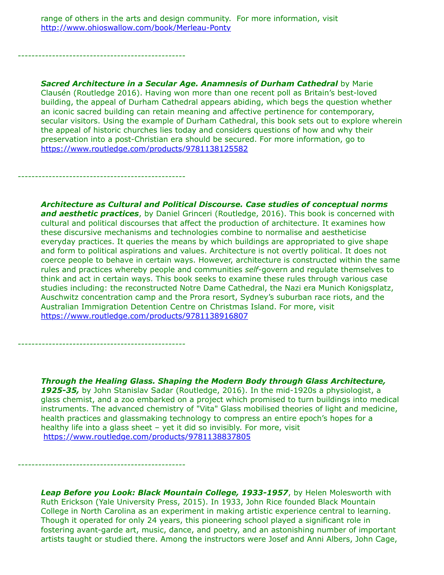range of others in the arts and design community. For more information, visit <http://www.ohioswallow.com/book/Merleau-Ponty>

*-------------------------------------------------*

*-------------------------------------------------*

*-------------------------------------------------*

*-------------------------------------------------*

**Sacred Architecture in a Secular Age. Anamnesis of Durham Cathedral** by Marie Clausén (Routledge 2016). Having won more than one recent poll as Britain's best-loved building, the appeal of Durham Cathedral appears abiding, which begs the question whether an iconic sacred building can retain meaning and affective pertinence for contemporary, secular visitors. Using the example of Durham Cathedral, this book sets out to explore wherein the appeal of historic churches lies today and considers questions of how and why their preservation into a post-Christian era should be secured. For more information, go to <https://www.routledge.com/products/9781138125582>

*Architecture as Cultural and Political Discourse. Case studies of conceptual norms* **and aesthetic practices**, by Daniel Grinceri (Routledge, 2016). This book is concerned with cultural and political discourses that affect the production of architecture. It examines how these discursive mechanisms and technologies combine to normalise and aestheticise everyday practices. It queries the means by which buildings are appropriated to give shape and form to political aspirations and values. Architecture is not overtly political. It does not coerce people to behave in certain ways. However, architecture is constructed within the same rules and practices whereby people and communities *self*-govern and regulate themselves to think and act in certain ways. This book seeks to examine these rules through various case studies including: the reconstructed Notre Dame Cathedral, the Nazi era Munich Konigsplatz, Auschwitz concentration camp and the Prora resort, Sydney's suburban race riots, and the Australian Immigration Detention Centre on Christmas Island. For more, visit <https://www.routledge.com/products/9781138916807>

*Through the Healing Glass. Shaping the Modern Body through Glass Architecture, 1925-35,* by John Stanislav Sadar (Routledge, 2016). In the mid-1920s a physiologist, a glass chemist, and a zoo embarked on a project which promised to turn buildings into medical instruments. The advanced chemistry of "Vita" Glass mobilised theories of light and medicine, health practices and glassmaking technology to compress an entire epoch's hopes for a healthy life into a glass sheet – yet it did so invisibly. For more, visit <https://www.routledge.com/products/9781138837805>

*Leap Before you Look: Black Mountain College, 1933-1957*, by Helen Molesworth with Ruth Erickson (Yale University Press, 2015). In 1933, John Rice founded Black Mountain College in North Carolina as an experiment in making artistic experience central to learning. Though it operated for only 24 years, this pioneering school played a significant role in fostering avant-garde art, music, dance, and poetry, and an astonishing number of important artists taught or studied there. Among the instructors were Josef and Anni Albers, John Cage,